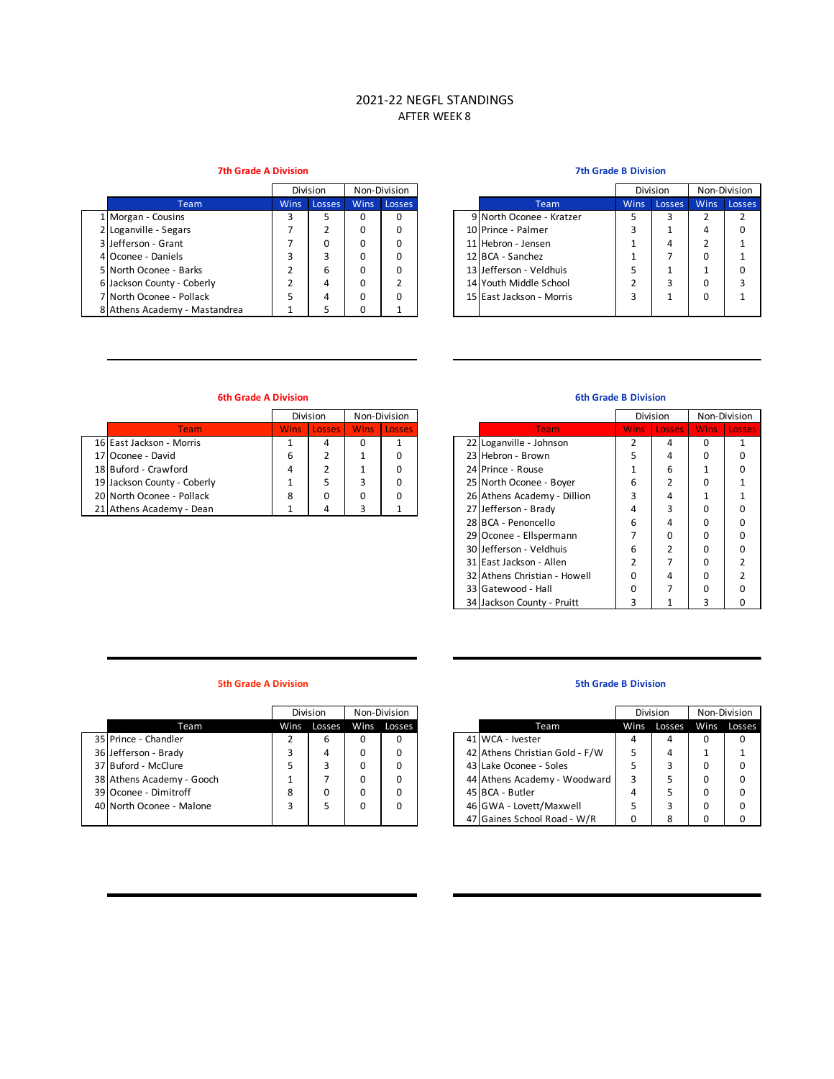# 2021-22 NEGFL STANDINGS AFTER WEEK 8

## **7th Grade A Division 7th Grade B Division**

|                               | Division    |        |             | Non-Division |                          |             | Division | Non-Divisio |      |
|-------------------------------|-------------|--------|-------------|--------------|--------------------------|-------------|----------|-------------|------|
| Team                          | <b>Wins</b> | Losses | <b>Wins</b> | Losses       | Team                     | <b>Wins</b> | Losses   | <b>Wins</b> | Loss |
| 1 Morgan - Cousins            |             |        | 0           |              | 9 North Oconee - Kratzer |             |          |             |      |
| 2 Loganville - Segars         |             |        | 0           |              | 10 Prince - Palmer       |             |          |             |      |
| 3 Jefferson - Grant           |             |        | 0           |              | 11 Hebron - Jensen       |             | 4        |             |      |
| 4 Oconee - Daniels            |             |        | 0           |              | 12 BCA - Sanchez         |             |          |             |      |
| 5 North Oconee - Barks        |             | 6      | 0           |              | 13 Jefferson - Veldhuis  |             |          |             |      |
| 6 Jackson County - Coberly    |             | 4      | 0           |              | 14 Youth Middle School   |             |          |             |      |
| 7 North Oconee - Pollack      |             |        | 0           |              | 15 East Jackson - Morris |             |          |             |      |
| 8 Athens Academy - Mastandrea |             |        |             |              |                          |             |          |             |      |

|                |             | Division |             | Non-Division |                          |             | Division | Non-Division             |        |
|----------------|-------------|----------|-------------|--------------|--------------------------|-------------|----------|--------------------------|--------|
| <b>Team</b>    | <b>Wins</b> | Losses   | <b>Wins</b> | Losses       | Team                     | <b>Wins</b> | Losses   | <b>Wins</b>              | Losses |
| าร             |             |          | o           | 0            | 9 North Oconee - Kratzer |             |          |                          |        |
| ars            |             |          | 0           | 0            | 10 Prince - Palmer       |             |          | 4                        |        |
| ۱t             |             |          | 0           | 0            | 11 Hebron - Jensen       |             | 4        |                          |        |
| s              |             |          | ŋ           | 0            | 12 BCA - Sanchez         |             |          | 0                        |        |
| <b>Barks</b>   |             | 6        | 0           | 0            | 13 Jefferson - Veldhuis  |             |          | $\overline{\phantom{a}}$ |        |
| - Coberly      |             | 4        | 0           |              | 14 Youth Middle School   |             |          | 0                        |        |
| Pollack        |             | 4        | ŋ           | 0            | 15 East Jackson - Morris |             |          | 0                        |        |
| v - Mastandrea |             |          |             |              |                          |             |          |                          |        |

## **6th Grade A Division 6th Grade B Division**

|                             |  | Division    | Non-Division |             |                             |             | Division      | Non-Divisio |      |
|-----------------------------|--|-------------|--------------|-------------|-----------------------------|-------------|---------------|-------------|------|
| Team                        |  | Wins Losses |              | Wins Losses | <b>Team</b>                 | <b>Wins</b> | <b>Losses</b> | <b>Wins</b> | Loss |
| 16 East Jackson - Morris    |  | 4           |              |             | 22 Loganville - Johnson     |             |               |             |      |
| 17 Oconee - David           |  |             |              |             | 23 Hebron - Brown           |             |               |             |      |
| 18 Buford - Crawford        |  |             |              |             | 24 Prince - Rouse           |             | ь             |             |      |
| 19 Jackson County - Coberly |  |             |              |             | 25 North Oconee - Boyer     | ь           |               |             |      |
| 20 North Oconee - Pollack   |  |             |              |             | 26 Athens Academy - Dillion |             |               |             |      |
| 21 Athens Academy - Dean    |  |             |              |             | 27 Jefferson - Brady        |             |               |             |      |

|               |             | Division      |             | Non-Division  |                              |             | Division      |              | Non-Division |
|---------------|-------------|---------------|-------------|---------------|------------------------------|-------------|---------------|--------------|--------------|
| <b>Team</b>   | <b>Wins</b> | <b>Losses</b> | <b>Wins</b> | <b>Losses</b> | <b>Team</b>                  | <b>Wins</b> | <b>Losses</b> | <b>Wins</b>  | Losses,      |
| <b>Morris</b> |             | 4             | 0           |               | 22 Loganville - Johnson      | 2           | 4             | 0            | 1            |
|               | 6           | 2             |             | 0             | 23 Hebron - Brown            | 5           | 4             | 0            | $\Omega$     |
| ırd           | 4           | 2             |             | 0             | 24 Prince - Rouse            |             | 6             | $\mathbf{1}$ | <sup>0</sup> |
| - Coberly     | 4           | 5             | 3           | 0             | 25 North Oconee - Boyer      | 6           |               | 0            |              |
| Pollack       | 8           | 0             | 0           | 0             | 26 Athens Academy - Dillion  | 3           | 4             | 1            |              |
| v - Dean      |             | 4             | 3           |               | 27 Jefferson - Brady         | 4           | 3             | 0            | $\Omega$     |
|               |             |               |             |               | 28 BCA - Penoncello          | 6           | 4             | 0            | $\Omega$     |
|               |             |               |             |               | 29 Oconee - Ellspermann      |             | ŋ             | 0            | $\Omega$     |
|               |             |               |             |               | 30 Jefferson - Veldhuis      | 6           |               | 0            | $\Omega$     |
|               |             |               |             |               | 31 East Jackson - Allen      | 2           |               | 0            |              |
|               |             |               |             |               | 32 Athens Christian - Howell | O           | 4             | 0            |              |
|               |             |               |             |               | 33 Gatewood - Hall           | $\Omega$    |               | 0            | O            |
|               |             |               |             |               | 34 Jackson County - Pruitt   |             |               | 3            | 0            |

### **5th Grade A Division**

|                           |   | <b>Division</b> |      | Non-Division |                                |   | Division    | Non-Divisio |      |
|---------------------------|---|-----------------|------|--------------|--------------------------------|---|-------------|-------------|------|
| Team                      |   | Wins Losses     | Wins | Losses       | Team                           |   | Wins Losses | Wins        | Loss |
| 35 Prince - Chandler      |   | 6               |      | 0            | 41 WCA - Ivester               | 4 | 4           |             |      |
| 36 Jefferson - Brady      |   | 4               |      |              | 42 Athens Christian Gold - F/W |   | 4           |             |      |
| 37 Buford - McClure       |   |                 |      | 0            | 43 Lake Oconee - Soles         |   |             |             | 0    |
| 38 Athens Academy - Gooch |   |                 |      | 0            | 44 Athens Academy - Woodward   |   |             |             | 0    |
| 39 Oconee - Dimitroff     | 8 | 0               |      | 0            | 45 BCA - Butler                | 4 |             |             | 0    |
| 40 North Oconee - Malone  |   |                 |      | 0            | 46 GWA - Lovett/Maxwell        |   |             |             | 0    |
|                           |   |                 |      |              | 47 Gaines School Road - W/R    |   |             |             |      |

### **5th Grade B Division**

|                  |      | Division |      | Non-Division |
|------------------|------|----------|------|--------------|
| Team             | Wins | Losses   | Wins | Losses       |
|                  |      | 6        | 0    | 0            |
|                  |      | 4        | 0    | 0            |
| e                |      |          | 0    | 0            |
| y - Gooch        |      |          | 0    | 0            |
| off <sup>.</sup> | 8    |          | 0    | 0            |
| Malone           |      |          | 0    | 0            |
|                  |      |          |      |              |